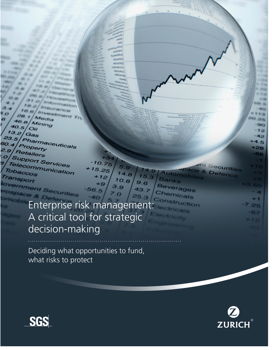Mining 40.5  $O$  $13.2$ Gas 23.5 Pharmaceuticals  $0.4$ Property  $9.9$ Retailers Support Services Telecommunication Tobaccos Transport overnment Securities

 $\overline{o}$ 

Chemicals Enterprise risk management: A critical tool for strategic decision-making

 $10.75$ 

25

 $5.9$ 

 $14.8$ 

 $9.6$ 

43

 $10.8$ 

Deciding what opportunities to fund, what risks to protect





Securities

Defence

utomo

Beverages

Banks

æ

 $+1$ 25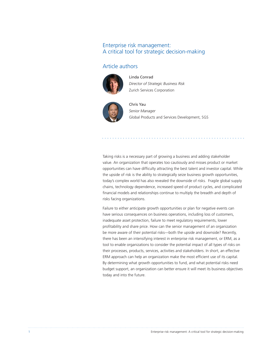## Enterprise risk management: A critical tool for strategic decision-making

## Article authors



Linda Conrad *Director of Strategic Business Risk* Zurich Services Corporation



Chris Yau *Senior Manager* Global Products and Services Development, SGS

Taking risks is a necessary part of growing a business and adding stakeholder value. An organization that operates too cautiously and misses product or market opportunities can have difficulty attracting the best talent and investor capital. While the upside of risk is the ability to strategically seize business growth opportunities, today's complex world has also revealed the downside of risks. Fragile global supply chains, technology dependence, increased speed of product cycles, and complicated financial models and relationships continue to multiply the breadth and depth of risks facing organizations.

Failure to either anticipate growth opportunities or plan for negative events can have serious consequences on business operations, including loss of customers, inadequate asset protection, failure to meet regulatory requirements, lower profitability and share price. How can the senior management of an organization be more aware of their potential risks—both the upside and downside? Recently, there has been an intensifying interest in enterprise risk management, or ERM, as a tool to enable organizations to consider the potential impact of all types of risks on their processes, products, services, activities and stakeholders. In short, an effective ERM approach can help an organization make the most efficient use of its capital. By determining what growth opportunities to fund, and what potential risks need budget support, an organization can better ensure it will meet its business objectives today and into the future.

1 Enterprise risk management: A critical tool for strategic decision-making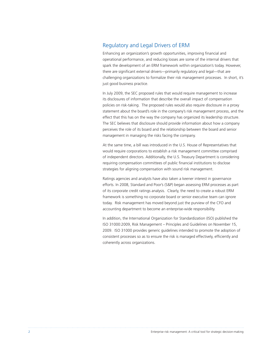## Regulatory and Legal Drivers of ERM

Enhancing an organization's growth opportunities, improving financial and operational performance, and reducing losses are some of the internal drivers that spark the development of an ERM framework within organization's today. However, there are significant external drivers—primarily regulatory and legal—that are challenging organizations to formalize their risk management processes. In short, it's just good business practice.

In July 2009, the SEC proposed rules that would require management to increase its disclosures of information that describe the overall impact of compensation policies on risk-taking. The proposed rules would also require disclosure in a proxy statement about the board's role in the company's risk management process, and the effect that this has on the way the company has organized its leadership structure. The SEC believes that disclosure should provide information about how a company perceives the role of its board and the relationship between the board and senior management in managing the risks facing the company.

At the same time, a bill was introduced in the U.S. House of Representatives that would require corporations to establish a risk management committee comprised of independent directors. Additionally, the U.S. Treasury Department is considering requiring compensation committees of public financial institutions to disclose strategies for aligning compensation with sound risk management.

Ratings agencies and analysts have also taken a keener interest in governance efforts. In 2008, Standard and Poor's (S&P) began assessing ERM processes as part of its corporate credit ratings analysis. Clearly, the need to create a robust ERM framework is something no corporate board or senior executive team can ignore today. Risk management has moved beyond just the purview of the CFO and accounting department to become an enterprise-wide responsibility.

In addition, the International Organization for Standardization (ISO) published the ISO 31000:2009, Risk Management – Principles and Guidelines on November 15, 2009. ISO 31000 provides generic guidelines intended to promote the adoption of consistent processes so as to ensure the risk is managed effectively, efficiently and coherently across organizations.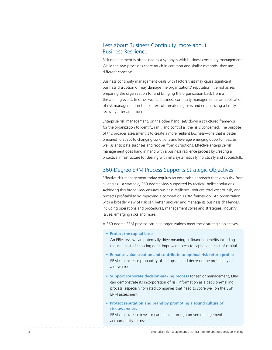# Less about Business Continuity, more about Business Resilience

Risk management is often used as a synonym with business continuity management. While the two processes share much in common and similar methods, they are different concepts.

Business continuity management deals with factors that may cause significant business disruption or may damage the organizations' reputation. It emphasizes preparing the organization for and bringing the organization back from a threatening event. In other words, business continuity management is an application of risk management in the context of threatening risks and emphasizing a timely recovery after an incident.

Enterprise risk management, on the other hand, sets down a structured framework for the organization to identify, rank, and control all the risks concerned. The purpose of this broader assessment is to create a more resilient business—one that is better prepared to adapt to changing conditions and leverage emerging opportunities, as well as anticipate surprises and recover from disruptions. Effective enterprise risk management goes hand in hand with a business resilience process by creating a proactive infrastructure for dealing with risks systematically, holistically and successfully.

#### 360-Degree ERM Process Supports Strategic Objectives

Effective risk management today requires an enterprise approach that views risk from all angles – a strategic, 360-degree view supported by tactical, holistic solutions. Achieving this broad view ensures business resilience, reduces total cost of risk, and protects profitability by improving a corporation's ERM framework. An organization with a broader view of risk can better uncover and manage its business challenges, including operations and procedures, management styles and strategies, industry issues, emerging risks and more.

A 360-degree ERM process can help organizations meet these strategic objectives:

**• Protect the capital base**

 An ERM review can potentially drive meaningful financial benefits including reduced cost of servicing debt, improved access to capital and cost of capital.

- **Enhance value creation and contribute to optimal risk-return profile** ERM can increase probability of the upside and decrease the probability of a downside.
- **Support corporate decision-making process** for senior management, ERM can demonstrate its incorporation of risk information as a decision-making process, especially for rated companies that need to score well on the S&P ERM assessment.
- **Protect reputation and brand by promoting a sound culture of risk awareness**

ERM can increase investor confidence through proven management accountability for risk.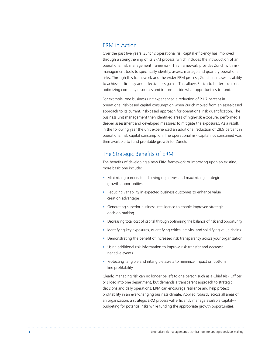#### ERM in Action

Over the past five years, Zurich's operational risk capital efficiency has improved through a strengthening of its ERM process, which includes the introduction of an operational risk management framework. This framework provides Zurich with risk management tools to specifically identify, assess, manage and quantify operational risks. Through this framework and the wider ERM process, Zurich increases its ability to achieve efficiency and effectiveness gains. This allows Zurich to better focus on optimizing company resources and in turn decide what opportunities to fund.

For example, one business unit experienced a reduction of 21.7 percent in operational risk-based capital consumption when Zurich moved from an asset-based approach to its current, risk-based approach for operational risk quantification. The business unit management then identified areas of high-risk exposure, performed a deeper assessment and developed measures to mitigate the exposures. As a result, in the following year the unit experienced an additional reduction of 28.9 percent in operational risk capital consumption. The operational risk capital not consumed was then available to fund profitable growth for Zurich.

#### The Strategic Benefits of ERM

The benefits of developing a new ERM framework or improving upon an existing, more basic one include:

- Minimizing barriers to achieving objectives and maximizing strategic growth opportunities
- Reducing variability in expected business outcomes to enhance value creation advantage
- Generating superior business intelligence to enable improved strategic decision making
- Decreasing total cost of capital through optimizing the balance of risk and opportunity
- Identifying key exposures, quantifying critical activity, and solidifying value chains
- Demonstrating the benefit of increased risk transparency across your organization
- Using additional risk information to improve risk transfer and decrease negative events
- Protecting tangible and intangible assets to minimize impact on bottom line profitability

Clearly, managing risk can no longer be left to one person such as a Chief Risk Officer or siloed into one department, but demands a transparent approach to strategic decisions and daily operations. ERM can encourage resilience and help protect profitability in an ever-changing business climate. Applied robustly across all areas of an organization, a strategic ERM process will efficiently manage available capital-- budgeting for potential risks while funding the appropriate growth opportunities.

4 Enterprise risk management: A critical tool for strategic decision-making